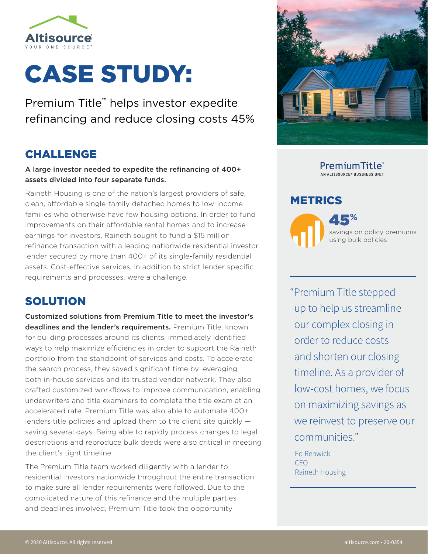

# CASE STUDY:

Premium Title™ helps investor expedite refinancing and reduce closing costs 45%

## CHALLENGE

A large investor needed to expedite the refinancing of 400+ assets divided into four separate funds.

Raineth Housing is one of the nation's largest providers of safe, clean, affordable single-family detached homes to low-income families who otherwise have few housing options. In order to fund improvements on their affordable rental homes and to increase earnings for investors, Raineth sought to fund a \$15 million refinance transaction with a leading nationwide residential investor lender secured by more than 400+ of its single-family residential assets. Cost-effective services, in addition to strict lender specific requirements and processes, were a challenge.

## SOLUTION

Customized solutions from Premium Title to meet the investor's deadlines and the lender's requirements. Premium Title, known for building processes around its clients, immediately identified ways to help maximize efficiencies in order to support the Raineth portfolio from the standpoint of services and costs. To accelerate the search process, they saved significant time by leveraging both in-house services and its trusted vendor network. They also crafted customized workflows to improve communication, enabling underwriters and title examiners to complete the title exam at an accelerated rate. Premium Title was also able to automate 400+ lenders title policies and upload them to the client site quickly saving several days. Being able to rapidly process changes to legal descriptions and reproduce bulk deeds were also critical in meeting the client's tight timeline.

The Premium Title team worked diligently with a lender to residential investors nationwide throughout the entire transaction to make sure all lender requirements were followed. Due to the complicated nature of this refinance and the multiple parties and deadlines involved, Premium Title took the opportunity



PremiumTitle<sup>®</sup> AN ALTISOURCE® BUSINESS UNIT

#### METRICS



45**%** savings on policy premiums using bulk policies

"Premium Title stepped up to help us streamline our complex closing in order to reduce costs and shorten our closing timeline. As a provider of low-cost homes, we focus on maximizing savings as we reinvest to preserve our communities."

Ed Renwick CEO Raineth Housing